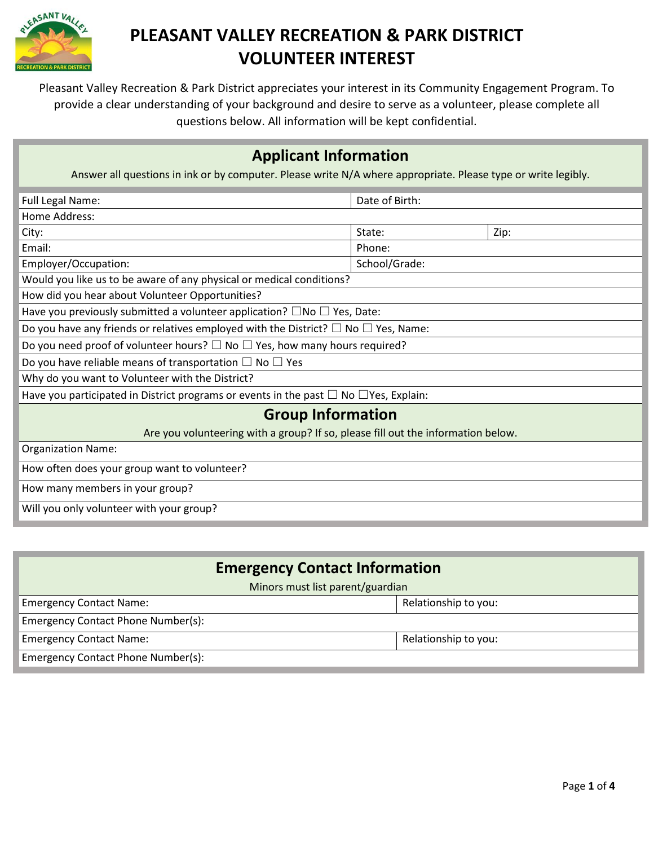

Pleasant Valley Recreation & Park District appreciates your interest in its Community Engagement Program. To provide a clear understanding of your background and desire to serve as a volunteer, please complete all questions below. All information will be kept confidential.

### **Applicant Information**

Answer all questions in ink or by computer. Please write N/A where appropriate. Please type or write legibly.

| Full Legal Name:                                                                                   | Date of Birth: |      |  |  |
|----------------------------------------------------------------------------------------------------|----------------|------|--|--|
| Home Address:                                                                                      |                |      |  |  |
| City:                                                                                              | State:         | Zip: |  |  |
| Email:                                                                                             | Phone:         |      |  |  |
| Employer/Occupation:                                                                               | School/Grade:  |      |  |  |
| Would you like us to be aware of any physical or medical conditions?                               |                |      |  |  |
| How did you hear about Volunteer Opportunities?                                                    |                |      |  |  |
| Have you previously submitted a volunteer application? $\square$ No $\square$ Yes, Date:           |                |      |  |  |
| Do you have any friends or relatives employed with the District? $\square$ No $\square$ Yes, Name: |                |      |  |  |
| Do you need proof of volunteer hours? $\square$ No $\square$ Yes, how many hours required?         |                |      |  |  |
| Do you have reliable means of transportation $\Box$ No $\Box$ Yes                                  |                |      |  |  |
| Why do you want to Volunteer with the District?                                                    |                |      |  |  |
| Have you participated in District programs or events in the past $\Box$ No $\Box$ Yes, Explain:    |                |      |  |  |
| <b>Group Information</b>                                                                           |                |      |  |  |
| Are you volunteering with a group? If so, please fill out the information below.                   |                |      |  |  |
| <b>Organization Name:</b>                                                                          |                |      |  |  |
| How often does your group want to volunteer?                                                       |                |      |  |  |
| How many members in your group?                                                                    |                |      |  |  |
| Will you only volunteer with your group?                                                           |                |      |  |  |

| <b>Emergency Contact Information</b> |                      |  |  |
|--------------------------------------|----------------------|--|--|
| Minors must list parent/guardian     |                      |  |  |
| <b>Emergency Contact Name:</b>       | Relationship to you: |  |  |
| Emergency Contact Phone Number(s):   |                      |  |  |
| <b>Emergency Contact Name:</b>       | Relationship to you: |  |  |
| Emergency Contact Phone Number(s):   |                      |  |  |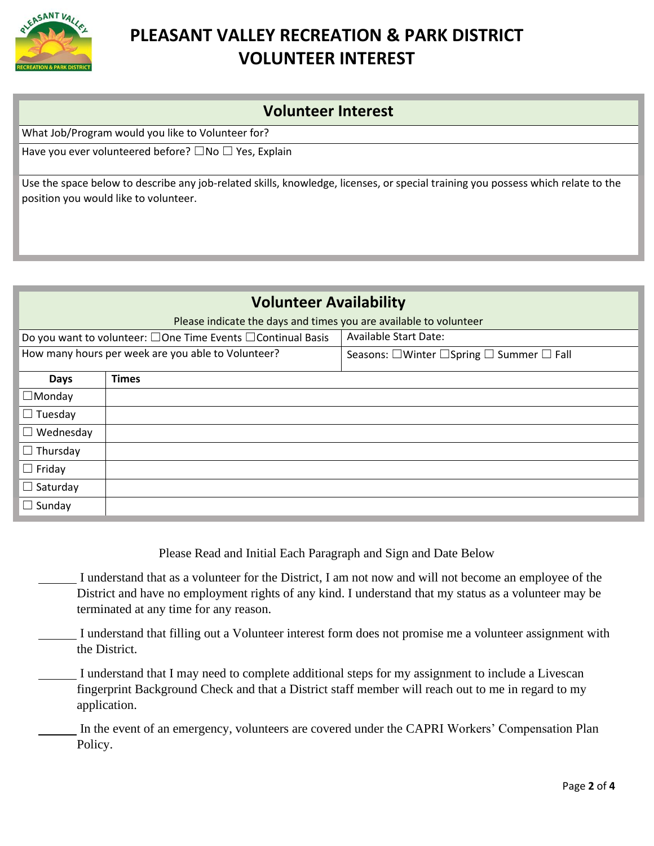

### **Volunteer Interest**

What Job/Program would you like to Volunteer for?

Have you ever volunteered before?  $\square$  No  $\square$  Yes, Explain

Use the space below to describe any job-related skills, knowledge, licenses, or special training you possess which relate to the position you would like to volunteer.

## **Volunteer Availability** Please indicate the days and times you are available to volunteer Do you want to volunteer: □One Time Events □Continual Basis | Available Start Date: How many hours per week are you able to Volunteer? Seasons:  $\Box$ Winter  $\Box$ Spring  $\Box$  Summer  $\Box$  Fall **Days Times** ☐Monday ☐ Tuesday  $\Box$  Wednesday □ Thursday ☐ Friday □ Saturday □ Sundav

Please Read and Initial Each Paragraph and Sign and Date Below

I understand that as a volunteer for the District, I am not now and will not become an employee of the District and have no employment rights of any kind. I understand that my status as a volunteer may be terminated at any time for any reason.

I understand that filling out a Volunteer interest form does not promise me a volunteer assignment with the District.

I understand that I may need to complete additional steps for my assignment to include a Livescan fingerprint Background Check and that a District staff member will reach out to me in regard to my application.

In the event of an emergency, volunteers are covered under the CAPRI Workers' Compensation Plan Policy.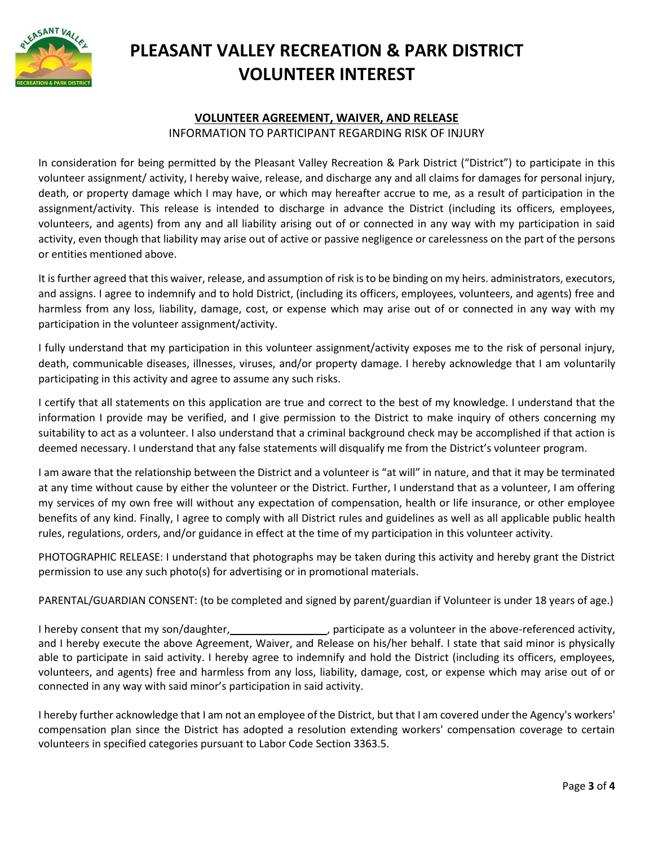

#### **VOLUNTEER AGREEMENT, WAIVER, AND RELEASE**

INFORMATION TO PARTICIPANT REGARDING RISK OF INJURY

In consideration for being permitted by the Pleasant Valley Recreation & Park District ("District") to participate in this volunteer assignment/ activity, I hereby waive, release, and discharge any and all claims for damages for personal injury, death, or property damage which I may have, or which may hereafter accrue to me, as a result of participation in the assignment/activity. This release is intended to discharge in advance the District (including its officers, employees, volunteers, and agents) from any and all liability arising out of or connected in any way with my participation in said activity, even though that liability may arise out of active or passive negligence or carelessness on the part of the persons or entities mentioned above.

It is further agreed that this waiver, release, and assumption of risk is to be binding on my heirs. administrators, executors, and assigns. I agree to indemnify and to hold District, (including its officers, employees, volunteers, and agents) free and harmless from any loss, liability, damage, cost, or expense which may arise out of or connected in any way with my participation in the volunteer assignment/activity.

I fully understand that my participation in this volunteer assignment/activity exposes me to the risk of personal injury, death, communicable diseases, illnesses, viruses, and/or property damage. I hereby acknowledge that I am voluntarily participating in this activity and agree to assume any such risks.

I certify that all statements on this application are true and correct to the best of my knowledge. I understand that the information I provide may be verified, and I give permission to the District to make inquiry of others concerning my suitability to act as a volunteer. I also understand that a criminal background check may be accomplished if that action is deemed necessary. I understand that any false statements will disqualify me from the District's volunteer program.

I am aware that the relationship between the District and a volunteer is "at will" in nature, and that it may be terminated at any time without cause by either the volunteer or the District. Further, I understand that as a volunteer, I am offering my services of my own free will without any expectation of compensation, health or life insurance, or other employee benefits of any kind. Finally, I agree to comply with all District rules and guidelines as well as all applicable public health rules, regulations, orders, and/or guidance in effect at the time of my participation in this volunteer activity.

PHOTOGRAPHIC RELEASE: I understand that photographs may be taken during this activity and hereby grant the District permission to use any such photo(s) for advertising or in promotional materials.

PARENTAL/GUARDIAN CONSENT: (to be completed and signed by parent/guardian if Volunteer is under 18 years of age.)

I hereby consent that my son/daughter, \_\_\_\_\_\_\_\_\_\_\_\_\_\_\_\_, participate as a volunteer in the above-referenced activity, and I hereby execute the above Agreement, Waiver, and Release on his/her behalf. I state that said minor is physically able to participate in said activity. I hereby agree to indemnify and hold the District (including its officers, employees, volunteers, and agents) free and harmless from any loss, liability, damage, cost, or expense which may arise out of or connected in any way with said minor's participation in said activity.

I hereby further acknowledge that I am not an employee of the District, but that I am covered under the Agency's workers' compensation plan since the District has adopted a resolution extending workers' compensation coverage to certain volunteers in specified categories pursuant to Labor Code Section 3363.5.